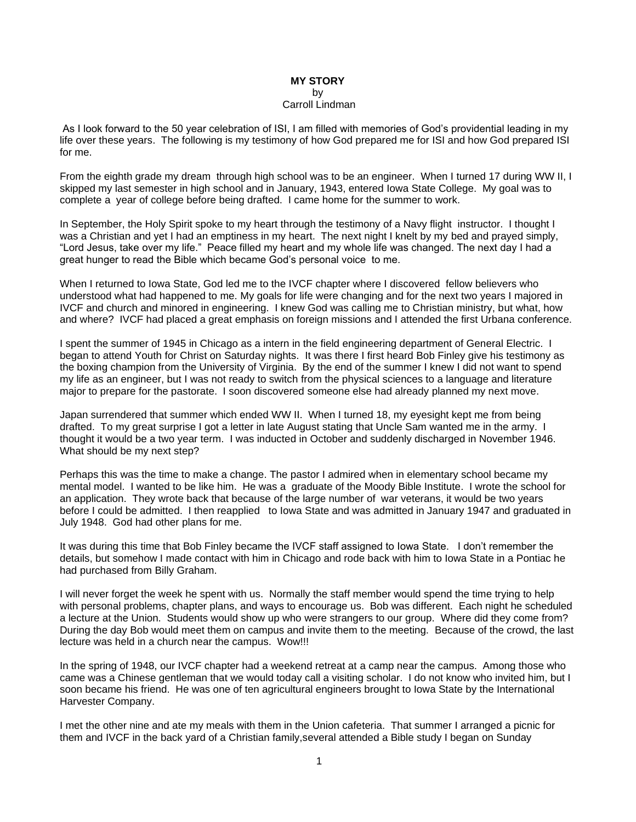## **MY STORY** by Carroll Lindman

As I look forward to the 50 year celebration of ISI, I am filled with memories of God's providential leading in my life over these years. The following is my testimony of how God prepared me for ISI and how God prepared ISI for me.

From the eighth grade my dream through high school was to be an engineer. When I turned 17 during WW II, I skipped my last semester in high school and in January, 1943, entered Iowa State College. My goal was to complete a year of college before being drafted. I came home for the summer to work.

In September, the Holy Spirit spoke to my heart through the testimony of a Navy flight instructor. I thought I was a Christian and yet I had an emptiness in my heart. The next night I knelt by my bed and prayed simply, "Lord Jesus, take over my life." Peace filled my heart and my whole life was changed. The next day I had a great hunger to read the Bible which became God's personal voice to me.

When I returned to Iowa State, God led me to the IVCF chapter where I discovered fellow believers who understood what had happened to me. My goals for life were changing and for the next two years I majored in IVCF and church and minored in engineering. I knew God was calling me to Christian ministry, but what, how and where? IVCF had placed a great emphasis on foreign missions and I attended the first Urbana conference.

I spent the summer of 1945 in Chicago as a intern in the field engineering department of General Electric. I began to attend Youth for Christ on Saturday nights. It was there I first heard Bob Finley give his testimony as the boxing champion from the University of Virginia. By the end of the summer I knew I did not want to spend my life as an engineer, but I was not ready to switch from the physical sciences to a language and literature major to prepare for the pastorate. I soon discovered someone else had already planned my next move.

Japan surrendered that summer which ended WW II. When I turned 18, my eyesight kept me from being drafted. To my great surprise I got a letter in late August stating that Uncle Sam wanted me in the army. I thought it would be a two year term. I was inducted in October and suddenly discharged in November 1946. What should be my next step?

Perhaps this was the time to make a change. The pastor I admired when in elementary school became my mental model. I wanted to be like him. He was a graduate of the Moody Bible Institute. I wrote the school for an application. They wrote back that because of the large number of war veterans, it would be two years before I could be admitted. I then reapplied to Iowa State and was admitted in January 1947 and graduated in July 1948. God had other plans for me.

It was during this time that Bob Finley became the IVCF staff assigned to Iowa State. I don't remember the details, but somehow I made contact with him in Chicago and rode back with him to Iowa State in a Pontiac he had purchased from Billy Graham.

I will never forget the week he spent with us. Normally the staff member would spend the time trying to help with personal problems, chapter plans, and ways to encourage us. Bob was different. Each night he scheduled a lecture at the Union. Students would show up who were strangers to our group. Where did they come from? During the day Bob would meet them on campus and invite them to the meeting. Because of the crowd, the last lecture was held in a church near the campus. Wow!!!

In the spring of 1948, our IVCF chapter had a weekend retreat at a camp near the campus. Among those who came was a Chinese gentleman that we would today call a visiting scholar. I do not know who invited him, but I soon became his friend. He was one of ten agricultural engineers brought to Iowa State by the International Harvester Company.

I met the other nine and ate my meals with them in the Union cafeteria. That summer I arranged a picnic for them and IVCF in the back yard of a Christian family,several attended a Bible study I began on Sunday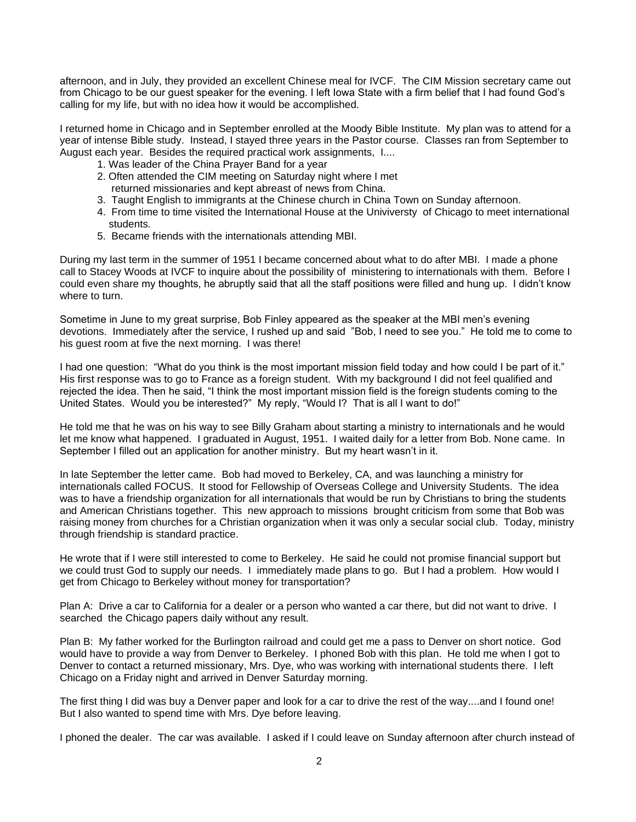afternoon, and in July, they provided an excellent Chinese meal for IVCF. The CIM Mission secretary came out from Chicago to be our guest speaker for the evening. I left Iowa State with a firm belief that I had found God's calling for my life, but with no idea how it would be accomplished.

I returned home in Chicago and in September enrolled at the Moody Bible Institute. My plan was to attend for a year of intense Bible study. Instead, I stayed three years in the Pastor course. Classes ran from September to August each year. Besides the required practical work assignments, I....

- 1. Was leader of the China Prayer Band for a year
- 2. Often attended the CIM meeting on Saturday night where I met returned missionaries and kept abreast of news from China.
- 3. Taught English to immigrants at the Chinese church in China Town on Sunday afternoon.
- 4. From time to time visited the International House at the Univiversty of Chicago to meet international students.
- 5. Became friends with the internationals attending MBI.

During my last term in the summer of 1951 I became concerned about what to do after MBI. I made a phone call to Stacey Woods at IVCF to inquire about the possibility of ministering to internationals with them. Before I could even share my thoughts, he abruptly said that all the staff positions were filled and hung up. I didn't know where to turn.

Sometime in June to my great surprise, Bob Finley appeared as the speaker at the MBI men's evening devotions. Immediately after the service, I rushed up and said "Bob, I need to see you." He told me to come to his guest room at five the next morning. I was there!

I had one question: "What do you think is the most important mission field today and how could I be part of it." His first response was to go to France as a foreign student. With my background I did not feel qualified and rejected the idea. Then he said, "I think the most important mission field is the foreign students coming to the United States. Would you be interested?" My reply, "Would I? That is all I want to do!"

He told me that he was on his way to see Billy Graham about starting a ministry to internationals and he would let me know what happened. I graduated in August, 1951. I waited daily for a letter from Bob. None came. In September I filled out an application for another ministry. But my heart wasn't in it.

In late September the letter came. Bob had moved to Berkeley, CA, and was launching a ministry for internationals called FOCUS. It stood for Fellowship of Overseas College and University Students. The idea was to have a friendship organization for all internationals that would be run by Christians to bring the students and American Christians together. This new approach to missions brought criticism from some that Bob was raising money from churches for a Christian organization when it was only a secular social club. Today, ministry through friendship is standard practice.

He wrote that if I were still interested to come to Berkeley. He said he could not promise financial support but we could trust God to supply our needs. I immediately made plans to go. But I had a problem. How would I get from Chicago to Berkeley without money for transportation?

Plan A: Drive a car to California for a dealer or a person who wanted a car there, but did not want to drive. I searched the Chicago papers daily without any result.

Plan B: My father worked for the Burlington railroad and could get me a pass to Denver on short notice. God would have to provide a way from Denver to Berkeley. I phoned Bob with this plan. He told me when I got to Denver to contact a returned missionary, Mrs. Dye, who was working with international students there. I left Chicago on a Friday night and arrived in Denver Saturday morning.

The first thing I did was buy a Denver paper and look for a car to drive the rest of the way....and I found one! But I also wanted to spend time with Mrs. Dye before leaving.

I phoned the dealer. The car was available. I asked if I could leave on Sunday afternoon after church instead of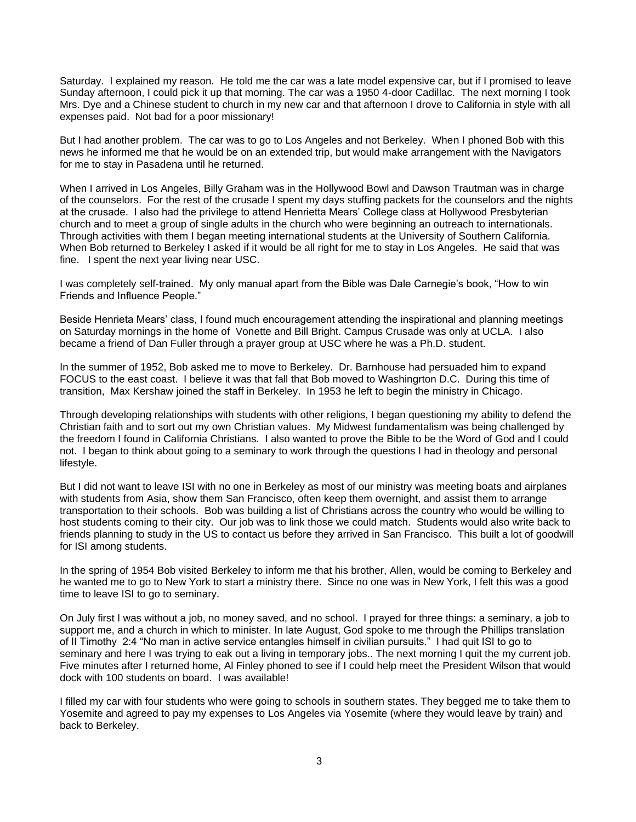Saturday. I explained my reason. He told me the car was a late model expensive car, but if I promised to leave Sunday afternoon, I could pick it up that morning. The car was a 1950 4-door Cadillac. The next morning I took Mrs. Dye and a Chinese student to church in my new car and that afternoon I drove to California in style with all expenses paid. Not bad for a poor missionary!

But I had another problem. The car was to go to Los Angeles and not Berkeley. When I phoned Bob with this news he informed me that he would be on an extended trip, but would make arrangement with the Navigators for me to stay in Pasadena until he returned.

When I arrived in Los Angeles, Billy Graham was in the Hollywood Bowl and Dawson Trautman was in charge of the counselors. For the rest of the crusade I spent my days stuffing packets for the counselors and the nights at the crusade. I also had the privilege to attend Henrietta Mears' College class at Hollywood Presbyterian church and to meet a group of single adults in the church who were beginning an outreach to internationals. Through activities with them I began meeting international students at the University of Southern California. When Bob returned to Berkeley I asked if it would be all right for me to stay in Los Angeles. He said that was fine. I spent the next year living near USC.

I was completely self-trained. My only manual apart from the Bible was Dale Carnegie's book, "How to win Friends and Influence People."

Beside Henrieta Mears' class, I found much encouragement attending the inspirational and planning meetings on Saturday mornings in the home of Vonette and Bill Bright. Campus Crusade was only at UCLA. I also became a friend of Dan Fuller through a prayer group at USC where he was a Ph.D. student.

In the summer of 1952, Bob asked me to move to Berkeley. Dr. Barnhouse had persuaded him to expand FOCUS to the east coast. I believe it was that fall that Bob moved to Washingrton D.C. During this time of transition, Max Kershaw joined the staff in Berkeley. In 1953 he left to begin the ministry in Chicago.

Through developing relationships with students with other religions, I began questioning my ability to defend the Christian faith and to sort out my own Christian values. My Midwest fundamentalism was being challenged by the freedom I found in California Christians. I also wanted to prove the Bible to be the Word of God and I could not. I began to think about going to a seminary to work through the questions I had in theology and personal lifestyle.

But I did not want to leave ISI with no one in Berkeley as most of our ministry was meeting boats and airplanes with students from Asia, show them San Francisco, often keep them overnight, and assist them to arrange transportation to their schools. Bob was building a list of Christians across the country who would be willing to host students coming to their city. Our job was to link those we could match. Students would also write back to friends planning to study in the US to contact us before they arrived in San Francisco. This built a lot of goodwill for ISI among students.

In the spring of 1954 Bob visited Berkeley to inform me that his brother, Allen, would be coming to Berkeley and he wanted me to go to New York to start a ministry there. Since no one was in New York, I felt this was a good time to leave ISI to go to seminary.

On July first I was without a job, no money saved, and no school. I prayed for three things: a seminary, a job to support me, and a church in which to minister. In late August, God spoke to me through the Phillips translation of II Timothy 2:4 "No man in active service entangles himself in civilian pursuits." I had quit ISI to go to seminary and here I was trying to eak out a living in temporary jobs.. The next morning I quit the my current job. Five minutes after I returned home, Al Finley phoned to see if I could help meet the President Wilson that would dock with 100 students on board. I was available!

I filled my car with four students who were going to schools in southern states. They begged me to take them to Yosemite and agreed to pay my expenses to Los Angeles via Yosemite (where they would leave by train) and back to Berkeley.